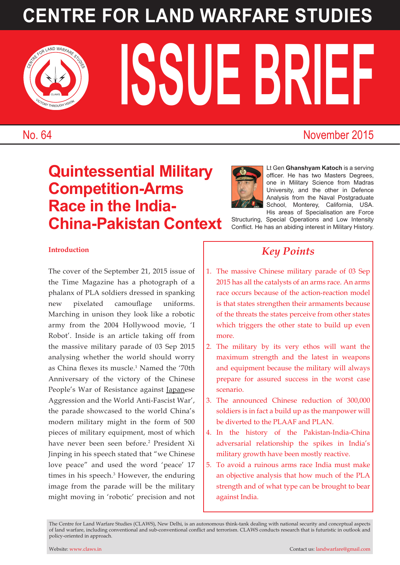# **CENTRE FOR LAND WARFARE STUDIES**



**ISSUE BRIEF CENTRE FOR LAND WARFARE STREEP STREEP STREEP STREEP STREEP STREEP STREEP STREEP STREEP STREEP STREEP ST** 

### No. 64 November 2015

### **Quintessential Military Competition-Arms Race in the India-China-Pakistan Context**



Lt Gen **Ghanshyam Katoch** is a serving officer. He has two Masters Degrees, one in Military Science from Madras University, and the other in Defence Analysis from the Naval Postgraduate School, Monterey, California, USA. His areas of Specialisation are Force

Structuring, Special Operations and Low Intensity Conflict. He has an abiding interest in Military History.

#### **Introduction**

The cover of the September 21, 2015 issue of the Time Magazine has a photograph of a phalanx of PLA soldiers dressed in spanking new pixelated camouflage uniforms. Marching in unison they look like a robotic army from the 2004 Hollywood movie, 'I Robot'. Inside is an article taking off from the massive military parade of 03 Sep 2015 analysing whether the world should worry as China flexes its muscle.<sup>1</sup> Named the '70th Anniversary of the victory of the Chinese People's War of Resistance against Japanese Aggression and the World Anti-Fascist War', the parade showcased to the world China's modern military might in the form of 500 pieces of military equipment, most of which have never been seen before.2 President Xi Jinping in his speech stated that "we Chinese love peace" and used the word 'peace' 17 times in his speech.<sup>3</sup> However, the enduring image from the parade will be the military might moving in 'robotic' precision and not

### *Key Points*

- 1. The massive Chinese military parade of 03 Sep 2015 has all the catalysts of an arms race. An arms race occurs because of the action-reaction model is that states strengthen their armaments because of the threats the states perceive from other states which triggers the other state to build up even more.
- 2. The military by its very ethos will want the maximum strength and the latest in weapons and equipment because the military will always prepare for assured success in the worst case scenario.
- 3. The announced Chinese reduction of 300,000 soldiers is in fact a build up as the manpower will be diverted to the PLAAF and PLAN.
- 4. In the history of the Pakistan-India-China adversarial relationship the spikes in India's military growth have been mostly reactive.
- 5. To avoid a ruinous arms race India must make an objective analysis that how much of the PLA strength and of what type can be brought to bear against India.

The Centre for Land Warfare Studies (CLAWS), New Delhi, is an autonomous think-tank dealing with national security and conceptual aspects of land warfare, including conventional and sub-conventional conflict and terrorism. CLAWS conducts research that is futuristic in outlook and policy-oriented in approach.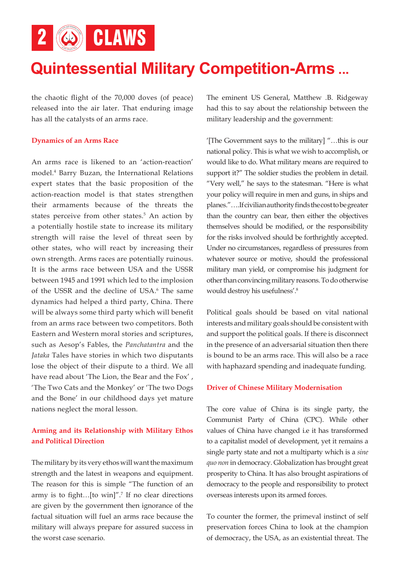2 6 CLAWS

### **Quintessential Military Competition-Arms ...**

the chaotic flight of the 70,000 doves (of peace) released into the air later. That enduring image has all the catalysts of an arms race.

#### **Dynamics of an Arms Race**

An arms race is likened to an 'action-reaction' model.4 Barry Buzan, the International Relations expert states that the basic proposition of the action-reaction model is that states strengthen their armaments because of the threats the states perceive from other states.<sup>5</sup> An action by a potentially hostile state to increase its military strength will raise the level of threat seen by other states, who will react by increasing their own strength. Arms races are potentially ruinous. It is the arms race between USA and the USSR between 1945 and 1991 which led to the implosion of the USSR and the decline of USA.<sup>6</sup> The same dynamics had helped a third party, China. There will be always some third party which will benefit from an arms race between two competitors. Both Eastern and Western moral stories and scriptures, such as Aesop's Fables, the *Panchatantra* and the *Jataka* Tales have stories in which two disputants lose the object of their dispute to a third. We all have read about 'The Lion, the Bear and the Fox' , 'The Two Cats and the Monkey' or 'The two Dogs and the Bone' in our childhood days yet mature nations neglect the moral lesson.

#### **Arming and its Relationship with Military Ethos and Political Direction**

The military by its very ethos will want the maximum strength and the latest in weapons and equipment. The reason for this is simple "The function of an army is to fight... $[$ to win]".<sup>7</sup> If no clear directions are given by the government then ignorance of the factual situation will fuel an arms race because the military will always prepare for assured success in the worst case scenario.

The eminent US General, Matthew .B. Ridgeway had this to say about the relationship between the military leadership and the government:

'[The Government says to the military] "…this is our national policy. This is what we wish to accomplish, or would like to do. What military means are required to support it?" The soldier studies the problem in detail. "Very well," he says to the statesman. "Here is what your policy will require in men and guns, in ships and planes."….If civilian authority finds the cost to be greater than the country can bear, then either the objectives themselves should be modified, or the responsibility for the risks involved should be forthrightly accepted. Under no circumstances, regardless of pressures from whatever source or motive, should the professional military man yield, or compromise his judgment for other than convincing military reasons. To do otherwise would destroy his usefulness'.8

Political goals should be based on vital national interests and military goals should be consistent with and support the political goals. If there is disconnect in the presence of an adversarial situation then there is bound to be an arms race. This will also be a race with haphazard spending and inadequate funding.

#### **Driver of Chinese Military Modernisation**

The core value of China is its single party, the Communist Party of China (CPC). While other values of China have changed i.e it has transformed to a capitalist model of development, yet it remains a single party state and not a multiparty which is a *sine quo non* in democracy. Globalization has brought great prosperity to China. It has also brought aspirations of democracy to the people and responsibility to protect overseas interests upon its armed forces.

To counter the former, the primeval instinct of self preservation forces China to look at the champion of democracy, the USA, as an existential threat. The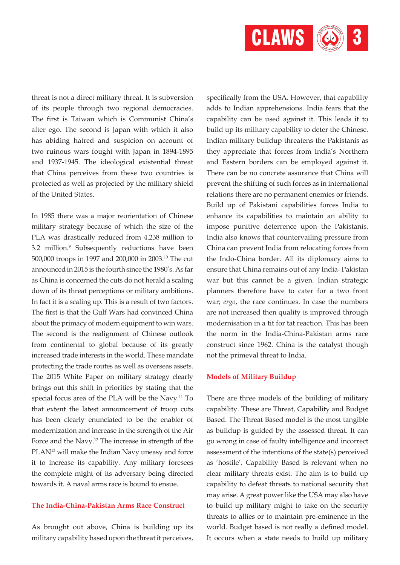

threat is not a direct military threat. It is subversion of its people through two regional democracies. The first is Taiwan which is Communist China's alter ego. The second is Japan with which it also has abiding hatred and suspicion on account of two ruinous wars fought with Japan in 1894-1895 and 1937-1945. The ideological existential threat that China perceives from these two countries is protected as well as projected by the military shield of the United States.

In 1985 there was a major reorientation of Chinese military strategy because of which the size of the PLA was drastically reduced from 4.238 million to 3.2 million.9 Subsequently reductions have been 500,000 troops in 1997 and 200,000 in 2003.10 The cut announced in 2015 is the fourth since the 1980's. As far as China is concerned the cuts do not herald a scaling down of its threat perceptions or military ambitions. In fact it is a scaling up. This is a result of two factors. The first is that the Gulf Wars had convinced China about the primacy of modern equipment to win wars. The second is the realignment of Chinese outlook from continental to global because of its greatly increased trade interests in the world. These mandate protecting the trade routes as well as overseas assets. The 2015 White Paper on military strategy clearly brings out this shift in priorities by stating that the special focus area of the PLA will be the Navy.<sup>11</sup> To that extent the latest announcement of troop cuts has been clearly enunciated to be the enabler of modernization and increase in the strength of the Air Force and the Navy.<sup>12</sup> The increase in strength of the PLAN<sup>13</sup> will make the Indian Navy uneasy and force it to increase its capability. Any military foresees the complete might of its adversary being directed towards it. A naval arms race is bound to ensue.

#### **The India-China-Pakistan Arms Race Construct**

As brought out above, China is building up its military capability based upon the threat it perceives,

specifically from the USA. However, that capability adds to Indian apprehensions. India fears that the capability can be used against it. This leads it to build up its military capability to deter the Chinese. Indian military buildup threatens the Pakistanis as they appreciate that forces from India's Northern and Eastern borders can be employed against it. There can be no concrete assurance that China will prevent the shifting of such forces as in international relations there are no permanent enemies or friends. Build up of Pakistani capabilities forces India to enhance its capabilities to maintain an ability to impose punitive deterrence upon the Pakistanis. India also knows that countervailing pressure from China can prevent India from relocating forces from the Indo-China border. All its diplomacy aims to ensure that China remains out of any India- Pakistan war but this cannot be a given. Indian strategic planners therefore have to cater for a two front war; *ergo*, the race continues. In case the numbers are not increased then quality is improved through modernisation in a tit for tat reaction. This has been the norm in the India-China-Pakistan arms race construct since 1962. China is the catalyst though not the primeval threat to India.

#### **Models of Military Buildup**

There are three models of the building of military capability. These are Threat, Capability and Budget Based. The Threat Based model is the most tangible as buildup is guided by the assessed threat. It can go wrong in case of faulty intelligence and incorrect assessment of the intentions of the state(s) perceived as 'hostile'. Capability Based is relevant when no clear military threats exist. The aim is to build up capability to defeat threats to national security that may arise. A great power like the USA may also have to build up military might to take on the security threats to allies or to maintain pre-eminence in the world. Budget based is not really a defined model. It occurs when a state needs to build up military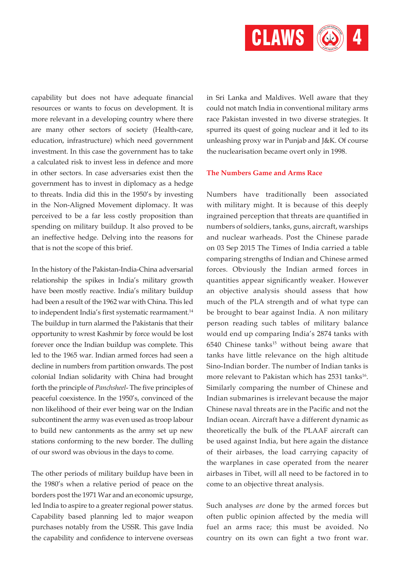

capability but does not have adequate financial resources or wants to focus on development. It is more relevant in a developing country where there are many other sectors of society (Health-care, education, infrastructure) which need government investment. In this case the government has to take a calculated risk to invest less in defence and more in other sectors. In case adversaries exist then the government has to invest in diplomacy as a hedge to threats. India did this in the 1950's by investing in the Non-Aligned Movement diplomacy. It was perceived to be a far less costly proposition than spending on military buildup. It also proved to be an ineffective hedge. Delving into the reasons for that is not the scope of this brief.

In the history of the Pakistan-India-China adversarial relationship the spikes in India's military growth have been mostly reactive. India's military buildup had been a result of the 1962 war with China. This led to independent India's first systematic rearmament.<sup>14</sup> The buildup in turn alarmed the Pakistanis that their opportunity to wrest Kashmir by force would be lost forever once the Indian buildup was complete. This led to the 1965 war. Indian armed forces had seen a decline in numbers from partition onwards. The post colonial Indian solidarity with China had brought forth the principle of *Panchsheel*- The five principles of peaceful coexistence. In the 1950's, convinced of the non likelihood of their ever being war on the Indian subcontinent the army was even used as troop labour to build new cantonments as the army set up new stations conforming to the new border. The dulling of our sword was obvious in the days to come.

The other periods of military buildup have been in the 1980's when a relative period of peace on the borders post the 1971 War and an economic upsurge, led India to aspire to a greater regional power status. Capability based planning led to major weapon purchases notably from the USSR. This gave India the capability and confidence to intervene overseas

in Sri Lanka and Maldives. Well aware that they could not match India in conventional military arms race Pakistan invested in two diverse strategies. It spurred its quest of going nuclear and it led to its unleashing proxy war in Punjab and J&K. Of course the nuclearisation became overt only in 1998.

#### **The Numbers Game and Arms Race**

Numbers have traditionally been associated with military might. It is because of this deeply ingrained perception that threats are quantified in numbers of soldiers, tanks, guns, aircraft, warships and nuclear warheads. Post the Chinese parade on 03 Sep 2015 The Times of India carried a table comparing strengths of Indian and Chinese armed forces. Obviously the Indian armed forces in quantities appear significantly weaker. However an objective analysis should assess that how much of the PLA strength and of what type can be brought to bear against India. A non military person reading such tables of military balance would end up comparing India's 2874 tanks with  $6540$  Chinese tanks<sup>15</sup> without being aware that tanks have little relevance on the high altitude Sino-Indian border. The number of Indian tanks is more relevant to Pakistan which has 2531 tanks<sup>16</sup>. Similarly comparing the number of Chinese and Indian submarines is irrelevant because the major Chinese naval threats are in the Pacific and not the Indian ocean. Aircraft have a different dynamic as theoretically the bulk of the PLAAF aircraft can be used against India, but here again the distance of their airbases, the load carrying capacity of the warplanes in case operated from the nearer airbases in Tibet, will all need to be factored in to come to an objective threat analysis.

Such analyses *are* done by the armed forces but often public opinion affected by the media will fuel an arms race; this must be avoided. No country on its own can fight a two front war.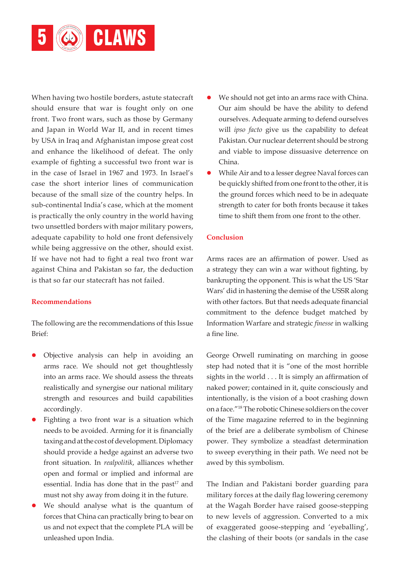

When having two hostile borders, astute statecraft should ensure that war is fought only on one front. Two front wars, such as those by Germany and Japan in World War II, and in recent times by USA in Iraq and Afghanistan impose great cost and enhance the likelihood of defeat. The only example of fighting a successful two front war is in the case of Israel in 1967 and 1973. In Israel's case the short interior lines of communication because of the small size of the country helps. In sub-continental India's case, which at the moment is practically the only country in the world having two unsettled borders with major military powers, adequate capability to hold one front defensively while being aggressive on the other, should exist. If we have not had to fight a real two front war against China and Pakistan so far, the deduction is that so far our statecraft has not failed.

#### **Recommendations**

The following are the recommendations of this Issue Brief:

- l Objective analysis can help in avoiding an arms race. We should not get thoughtlessly into an arms race. We should assess the threats realistically and synergise our national military strength and resources and build capabilities accordingly.
- Fighting a two front war is a situation which needs to be avoided. Arming for it is financially taxing and at the cost of development. Diplomacy should provide a hedge against an adverse two front situation. In *realpolitik*, alliances whether open and formal or implied and informal are essential. India has done that in the past $17$  and must not shy away from doing it in the future.
- We should analyse what is the quantum of forces that China can practically bring to bear on us and not expect that the complete PLA will be unleashed upon India.
- We should not get into an arms race with China. Our aim should be have the ability to defend ourselves. Adequate arming to defend ourselves will *ipso facto* give us the capability to defeat Pakistan. Our nuclear deterrent should be strong and viable to impose dissuasive deterrence on China.
- l While Air and to a lesser degree Naval forces can be quickly shifted from one front to the other, it is the ground forces which need to be in adequate strength to cater for both fronts because it takes time to shift them from one front to the other.

#### **Conclusion**

Arms races are an affirmation of power. Used as a strategy they can win a war without fighting, by bankrupting the opponent. This is what the US 'Star Wars' did in hastening the demise of the USSR along with other factors. But that needs adequate financial commitment to the defence budget matched by Information Warfare and strategic *finesse* in walking a fine line.

George Orwell ruminating on marching in goose step had noted that it is "one of the most horrible sights in the world . . . It is simply an affirmation of naked power; contained in it, quite consciously and intentionally, is the vision of a boot crashing down on a face."18 The robotic Chinese soldiers on the cover of the Time magazine referred to in the beginning of the brief are a deliberate symbolism of Chinese power. They symbolize a steadfast determination to sweep everything in their path. We need not be awed by this symbolism.

The Indian and Pakistani border guarding para military forces at the daily flag lowering ceremony at the Wagah Border have raised goose-stepping to new levels of aggression. Converted to a mix of exaggerated goose-stepping and 'eyeballing', the clashing of their boots (or sandals in the case